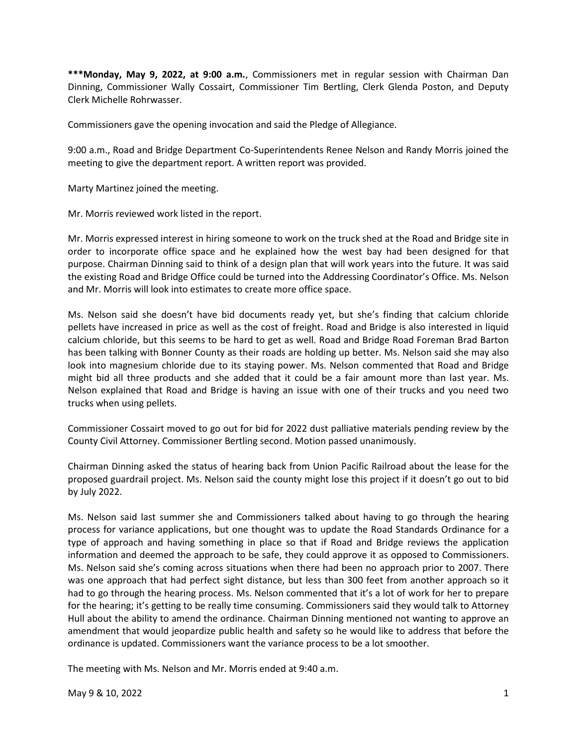**\*\*\*Monday, May 9, 2022, at 9:00 a.m.**, Commissioners met in regular session with Chairman Dan Dinning, Commissioner Wally Cossairt, Commissioner Tim Bertling, Clerk Glenda Poston, and Deputy Clerk Michelle Rohrwasser.

Commissioners gave the opening invocation and said the Pledge of Allegiance.

9:00 a.m., Road and Bridge Department Co-Superintendents Renee Nelson and Randy Morris joined the meeting to give the department report. A written report was provided.

Marty Martinez joined the meeting.

Mr. Morris reviewed work listed in the report.

Mr. Morris expressed interest in hiring someone to work on the truck shed at the Road and Bridge site in order to incorporate office space and he explained how the west bay had been designed for that purpose. Chairman Dinning said to think of a design plan that will work years into the future. It was said the existing Road and Bridge Office could be turned into the Addressing Coordinator's Office. Ms. Nelson and Mr. Morris will look into estimates to create more office space.

Ms. Nelson said she doesn't have bid documents ready yet, but she's finding that calcium chloride pellets have increased in price as well as the cost of freight. Road and Bridge is also interested in liquid calcium chloride, but this seems to be hard to get as well. Road and Bridge Road Foreman Brad Barton has been talking with Bonner County as their roads are holding up better. Ms. Nelson said she may also look into magnesium chloride due to its staying power. Ms. Nelson commented that Road and Bridge might bid all three products and she added that it could be a fair amount more than last year. Ms. Nelson explained that Road and Bridge is having an issue with one of their trucks and you need two trucks when using pellets.

Commissioner Cossairt moved to go out for bid for 2022 dust palliative materials pending review by the County Civil Attorney. Commissioner Bertling second. Motion passed unanimously.

Chairman Dinning asked the status of hearing back from Union Pacific Railroad about the lease for the proposed guardrail project. Ms. Nelson said the county might lose this project if it doesn't go out to bid by July 2022.

Ms. Nelson said last summer she and Commissioners talked about having to go through the hearing process for variance applications, but one thought was to update the Road Standards Ordinance for a type of approach and having something in place so that if Road and Bridge reviews the application information and deemed the approach to be safe, they could approve it as opposed to Commissioners. Ms. Nelson said she's coming across situations when there had been no approach prior to 2007. There was one approach that had perfect sight distance, but less than 300 feet from another approach so it had to go through the hearing process. Ms. Nelson commented that it's a lot of work for her to prepare for the hearing; it's getting to be really time consuming. Commissioners said they would talk to Attorney Hull about the ability to amend the ordinance. Chairman Dinning mentioned not wanting to approve an amendment that would jeopardize public health and safety so he would like to address that before the ordinance is updated. Commissioners want the variance process to be a lot smoother.

The meeting with Ms. Nelson and Mr. Morris ended at 9:40 a.m.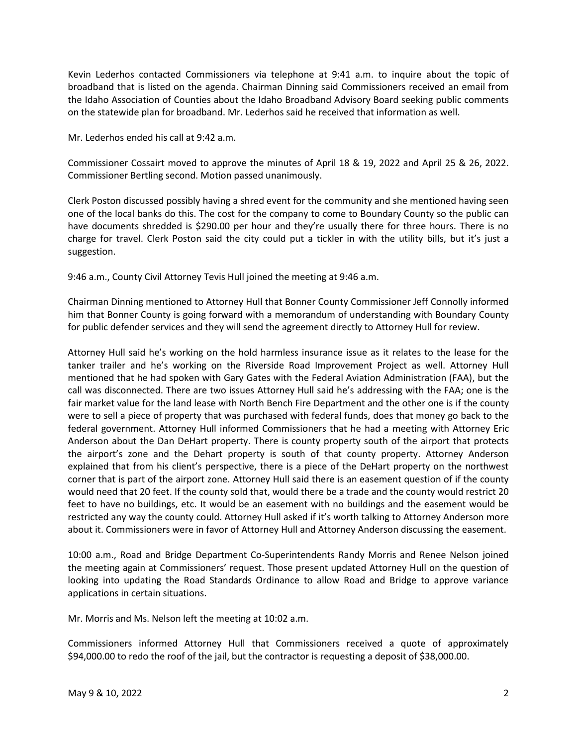Kevin Lederhos contacted Commissioners via telephone at 9:41 a.m. to inquire about the topic of broadband that is listed on the agenda. Chairman Dinning said Commissioners received an email from the Idaho Association of Counties about the Idaho Broadband Advisory Board seeking public comments on the statewide plan for broadband. Mr. Lederhos said he received that information as well.

Mr. Lederhos ended his call at 9:42 a.m.

Commissioner Cossairt moved to approve the minutes of April 18 & 19, 2022 and April 25 & 26, 2022. Commissioner Bertling second. Motion passed unanimously.

Clerk Poston discussed possibly having a shred event for the community and she mentioned having seen one of the local banks do this. The cost for the company to come to Boundary County so the public can have documents shredded is \$290.00 per hour and they're usually there for three hours. There is no charge for travel. Clerk Poston said the city could put a tickler in with the utility bills, but it's just a suggestion.

9:46 a.m., County Civil Attorney Tevis Hull joined the meeting at 9:46 a.m.

Chairman Dinning mentioned to Attorney Hull that Bonner County Commissioner Jeff Connolly informed him that Bonner County is going forward with a memorandum of understanding with Boundary County for public defender services and they will send the agreement directly to Attorney Hull for review.

Attorney Hull said he's working on the hold harmless insurance issue as it relates to the lease for the tanker trailer and he's working on the Riverside Road Improvement Project as well. Attorney Hull mentioned that he had spoken with Gary Gates with the Federal Aviation Administration (FAA), but the call was disconnected. There are two issues Attorney Hull said he's addressing with the FAA; one is the fair market value for the land lease with North Bench Fire Department and the other one is if the county were to sell a piece of property that was purchased with federal funds, does that money go back to the federal government. Attorney Hull informed Commissioners that he had a meeting with Attorney Eric Anderson about the Dan DeHart property. There is county property south of the airport that protects the airport's zone and the Dehart property is south of that county property. Attorney Anderson explained that from his client's perspective, there is a piece of the DeHart property on the northwest corner that is part of the airport zone. Attorney Hull said there is an easement question of if the county would need that 20 feet. If the county sold that, would there be a trade and the county would restrict 20 feet to have no buildings, etc. It would be an easement with no buildings and the easement would be restricted any way the county could. Attorney Hull asked if it's worth talking to Attorney Anderson more about it. Commissioners were in favor of Attorney Hull and Attorney Anderson discussing the easement.

10:00 a.m., Road and Bridge Department Co-Superintendents Randy Morris and Renee Nelson joined the meeting again at Commissioners' request. Those present updated Attorney Hull on the question of looking into updating the Road Standards Ordinance to allow Road and Bridge to approve variance applications in certain situations.

Mr. Morris and Ms. Nelson left the meeting at 10:02 a.m.

Commissioners informed Attorney Hull that Commissioners received a quote of approximately \$94,000.00 to redo the roof of the jail, but the contractor is requesting a deposit of \$38,000.00.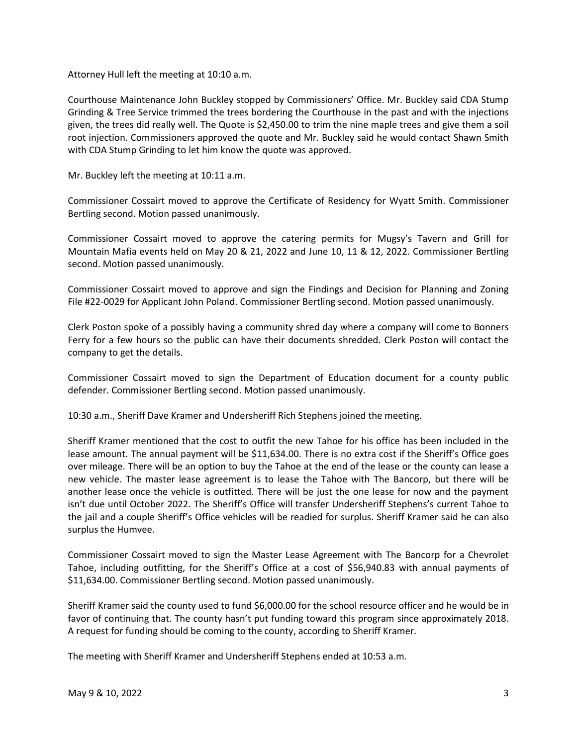Attorney Hull left the meeting at 10:10 a.m.

Courthouse Maintenance John Buckley stopped by Commissioners' Office. Mr. Buckley said CDA Stump Grinding & Tree Service trimmed the trees bordering the Courthouse in the past and with the injections given, the trees did really well. The Quote is \$2,450.00 to trim the nine maple trees and give them a soil root injection. Commissioners approved the quote and Mr. Buckley said he would contact Shawn Smith with CDA Stump Grinding to let him know the quote was approved.

Mr. Buckley left the meeting at 10:11 a.m.

Commissioner Cossairt moved to approve the Certificate of Residency for Wyatt Smith. Commissioner Bertling second. Motion passed unanimously.

Commissioner Cossairt moved to approve the catering permits for Mugsy's Tavern and Grill for Mountain Mafia events held on May 20 & 21, 2022 and June 10, 11 & 12, 2022. Commissioner Bertling second. Motion passed unanimously.

Commissioner Cossairt moved to approve and sign the Findings and Decision for Planning and Zoning File #22-0029 for Applicant John Poland. Commissioner Bertling second. Motion passed unanimously.

Clerk Poston spoke of a possibly having a community shred day where a company will come to Bonners Ferry for a few hours so the public can have their documents shredded. Clerk Poston will contact the company to get the details.

Commissioner Cossairt moved to sign the Department of Education document for a county public defender. Commissioner Bertling second. Motion passed unanimously.

10:30 a.m., Sheriff Dave Kramer and Undersheriff Rich Stephens joined the meeting.

Sheriff Kramer mentioned that the cost to outfit the new Tahoe for his office has been included in the lease amount. The annual payment will be \$11,634.00. There is no extra cost if the Sheriff's Office goes over mileage. There will be an option to buy the Tahoe at the end of the lease or the county can lease a new vehicle. The master lease agreement is to lease the Tahoe with The Bancorp, but there will be another lease once the vehicle is outfitted. There will be just the one lease for now and the payment isn't due until October 2022. The Sheriff's Office will transfer Undersheriff Stephens's current Tahoe to the jail and a couple Sheriff's Office vehicles will be readied for surplus. Sheriff Kramer said he can also surplus the Humvee.

Commissioner Cossairt moved to sign the Master Lease Agreement with The Bancorp for a Chevrolet Tahoe, including outfitting, for the Sheriff's Office at a cost of \$56,940.83 with annual payments of \$11,634.00. Commissioner Bertling second. Motion passed unanimously.

Sheriff Kramer said the county used to fund \$6,000.00 for the school resource officer and he would be in favor of continuing that. The county hasn't put funding toward this program since approximately 2018. A request for funding should be coming to the county, according to Sheriff Kramer.

The meeting with Sheriff Kramer and Undersheriff Stephens ended at 10:53 a.m.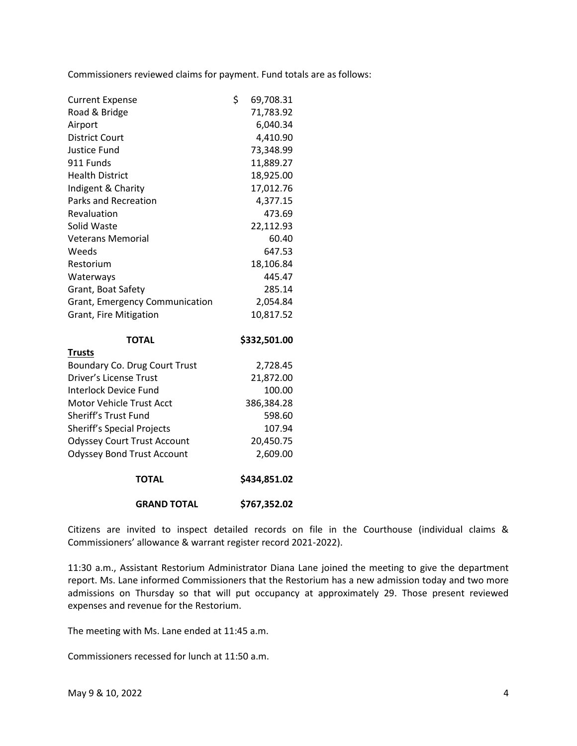Commissioners reviewed claims for payment. Fund totals are as follows:

| <b>Current Expense</b>             | \$<br>69,708.31 |
|------------------------------------|-----------------|
| Road & Bridge                      | 71,783.92       |
| Airport                            | 6,040.34        |
| <b>District Court</b>              | 4,410.90        |
| Justice Fund                       | 73,348.99       |
| 911 Funds                          | 11,889.27       |
| <b>Health District</b>             | 18,925.00       |
| Indigent & Charity                 | 17,012.76       |
| <b>Parks and Recreation</b>        | 4,377.15        |
| Revaluation                        | 473.69          |
| Solid Waste                        | 22,112.93       |
| <b>Veterans Memorial</b>           | 60.40           |
| Weeds                              | 647.53          |
| Restorium                          | 18,106.84       |
| Waterways                          | 445.47          |
| Grant, Boat Safety                 | 285.14          |
| Grant, Emergency Communication     | 2,054.84        |
| Grant, Fire Mitigation             | 10,817.52       |
| <b>TOTAL</b>                       | \$332,501.00    |
| <b>Trusts</b>                      |                 |
| Boundary Co. Drug Court Trust      | 2,728.45        |
| Driver's License Trust             | 21,872.00       |
| <b>Interlock Device Fund</b>       | 100.00          |
| <b>Motor Vehicle Trust Acct</b>    | 386,384.28      |
| Sheriff's Trust Fund               | 598.60          |
| <b>Sheriff's Special Projects</b>  | 107.94          |
| <b>Odyssey Court Trust Account</b> | 20,450.75       |
| <b>Odyssey Bond Trust Account</b>  | 2,609.00        |

| <b>TOTAL</b> | \$434,851.02 |
|--------------|--------------|
|              |              |

**GRAND TOTAL \$767,352.02**

Citizens are invited to inspect detailed records on file in the Courthouse (individual claims & Commissioners' allowance & warrant register record 2021-2022).

11:30 a.m., Assistant Restorium Administrator Diana Lane joined the meeting to give the department report. Ms. Lane informed Commissioners that the Restorium has a new admission today and two more admissions on Thursday so that will put occupancy at approximately 29. Those present reviewed expenses and revenue for the Restorium.

The meeting with Ms. Lane ended at 11:45 a.m.

Commissioners recessed for lunch at 11:50 a.m.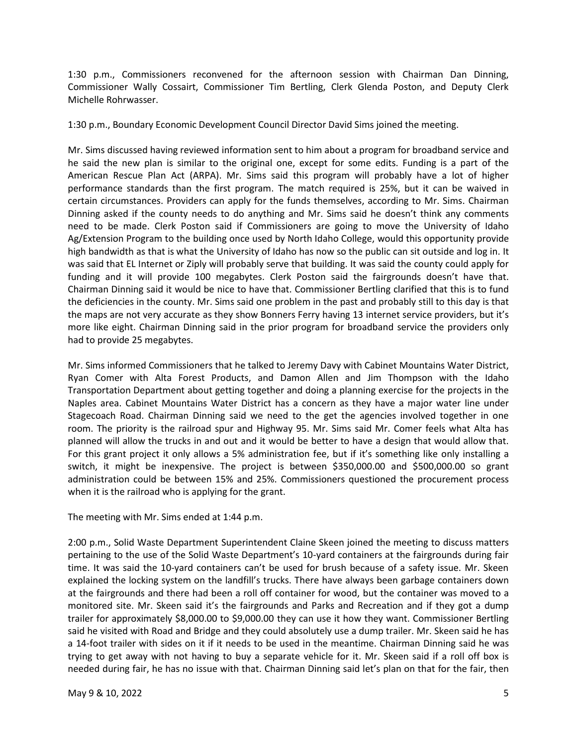1:30 p.m., Commissioners reconvened for the afternoon session with Chairman Dan Dinning, Commissioner Wally Cossairt, Commissioner Tim Bertling, Clerk Glenda Poston, and Deputy Clerk Michelle Rohrwasser.

1:30 p.m., Boundary Economic Development Council Director David Sims joined the meeting.

Mr. Sims discussed having reviewed information sent to him about a program for broadband service and he said the new plan is similar to the original one, except for some edits. Funding is a part of the American Rescue Plan Act (ARPA). Mr. Sims said this program will probably have a lot of higher performance standards than the first program. The match required is 25%, but it can be waived in certain circumstances. Providers can apply for the funds themselves, according to Mr. Sims. Chairman Dinning asked if the county needs to do anything and Mr. Sims said he doesn't think any comments need to be made. Clerk Poston said if Commissioners are going to move the University of Idaho Ag/Extension Program to the building once used by North Idaho College, would this opportunity provide high bandwidth as that is what the University of Idaho has now so the public can sit outside and log in. It was said that EL Internet or Ziply will probably serve that building. It was said the county could apply for funding and it will provide 100 megabytes. Clerk Poston said the fairgrounds doesn't have that. Chairman Dinning said it would be nice to have that. Commissioner Bertling clarified that this is to fund the deficiencies in the county. Mr. Sims said one problem in the past and probably still to this day is that the maps are not very accurate as they show Bonners Ferry having 13 internet service providers, but it's more like eight. Chairman Dinning said in the prior program for broadband service the providers only had to provide 25 megabytes.

Mr. Sims informed Commissioners that he talked to Jeremy Davy with Cabinet Mountains Water District, Ryan Comer with Alta Forest Products, and Damon Allen and Jim Thompson with the Idaho Transportation Department about getting together and doing a planning exercise for the projects in the Naples area. Cabinet Mountains Water District has a concern as they have a major water line under Stagecoach Road. Chairman Dinning said we need to the get the agencies involved together in one room. The priority is the railroad spur and Highway 95. Mr. Sims said Mr. Comer feels what Alta has planned will allow the trucks in and out and it would be better to have a design that would allow that. For this grant project it only allows a 5% administration fee, but if it's something like only installing a switch, it might be inexpensive. The project is between \$350,000.00 and \$500,000.00 so grant administration could be between 15% and 25%. Commissioners questioned the procurement process when it is the railroad who is applying for the grant.

The meeting with Mr. Sims ended at 1:44 p.m.

2:00 p.m., Solid Waste Department Superintendent Claine Skeen joined the meeting to discuss matters pertaining to the use of the Solid Waste Department's 10-yard containers at the fairgrounds during fair time. It was said the 10-yard containers can't be used for brush because of a safety issue. Mr. Skeen explained the locking system on the landfill's trucks. There have always been garbage containers down at the fairgrounds and there had been a roll off container for wood, but the container was moved to a monitored site. Mr. Skeen said it's the fairgrounds and Parks and Recreation and if they got a dump trailer for approximately \$8,000.00 to \$9,000.00 they can use it how they want. Commissioner Bertling said he visited with Road and Bridge and they could absolutely use a dump trailer. Mr. Skeen said he has a 14-foot trailer with sides on it if it needs to be used in the meantime. Chairman Dinning said he was trying to get away with not having to buy a separate vehicle for it. Mr. Skeen said if a roll off box is needed during fair, he has no issue with that. Chairman Dinning said let's plan on that for the fair, then